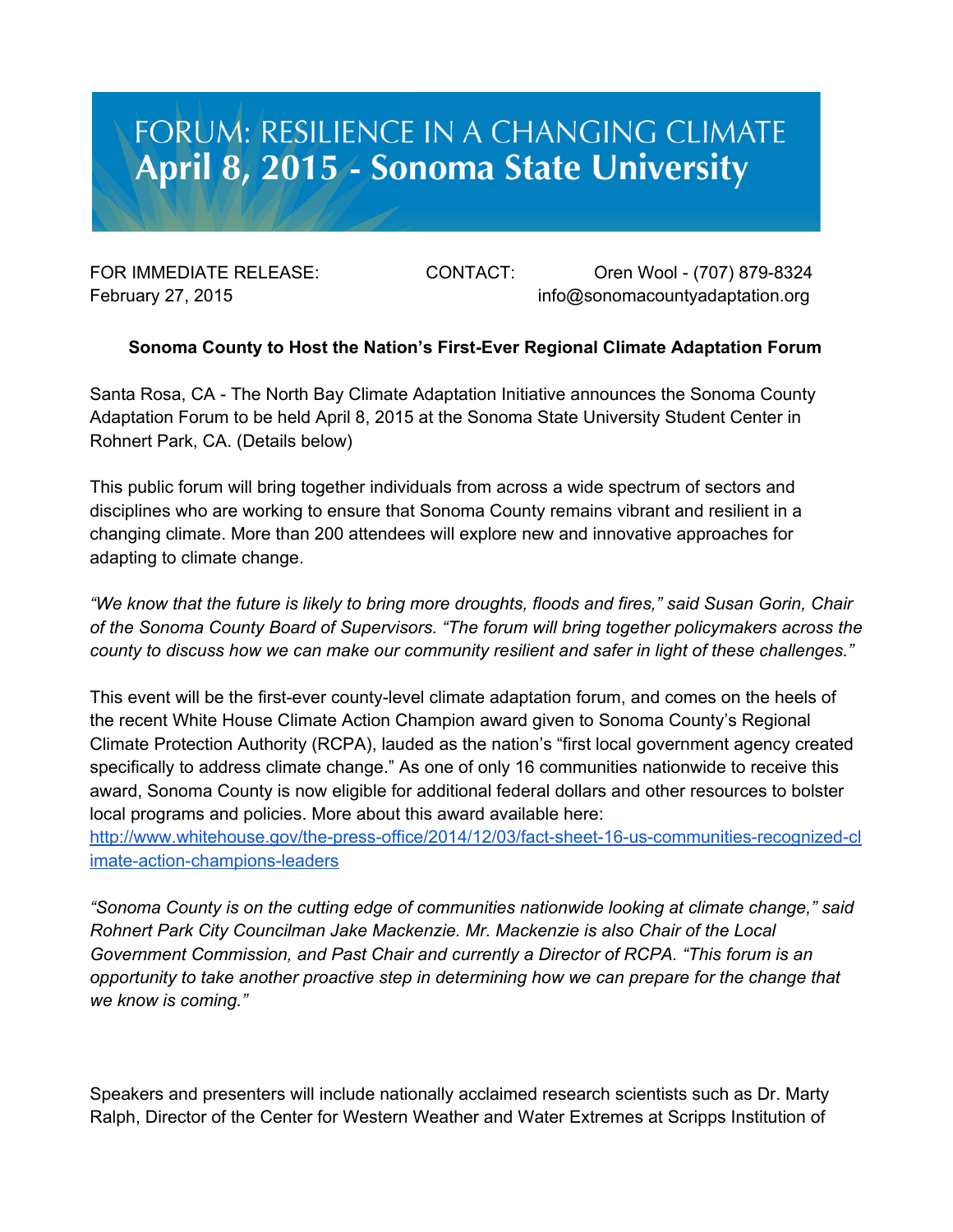## FORUM: RESILIENCE IN A CHANGING CLIMATE April 8, 2015 - Sonoma State University

FOR IMMEDIATE RELEASE: CONTACT: Oren Wool - (707) 879-8324 February 27, 2015 **info@sonomacountyadaptation.org** info@sonomacountyadaptation.org

## **Sonoma County to Host the Nation's FirstEver Regional Climate Adaptation Forum**

Santa Rosa, CA The North Bay Climate Adaptation Initiative announces the Sonoma County Adaptation Forum to be held April 8, 2015 at the Sonoma State University Student Center in Rohnert Park, CA. (Details below)

This public forum will bring together individuals from across a wide spectrum of sectors and disciplines who are working to ensure that Sonoma County remains vibrant and resilient in a changing climate. More than 200 attendees will explore new and innovative approaches for adapting to climate change.

"We know that the future is likely to bring more droughts, floods and fires," said Susan Gorin, Chair *of the Sonoma County Board of Supervisors. "The forum will bring together policymakers across the county to discuss how we can make our community resilient and safer in light of these challenges."*

This event will be the first-ever county-level climate adaptation forum, and comes on the heels of the recent White House Climate Action Champion award given to Sonoma County's Regional Climate Protection Authority (RCPA), lauded as the nation's "first local government agency created specifically to address climate change." As one of only 16 communities nationwide to receive this award, Sonoma County is now eligible for additional federal dollars and other resources to bolster local programs and policies. More about this award available here:

http://www.whitehouse.gov/the-press-office/2014/12/03/fact-sheet-16-us-communities-recognized-cl imate-action-champions-leaders

*"Sonoma County is on the cutting edge of communities nationwide looking at climate change," said Rohnert Park City Councilman Jake Mackenzie. Mr. Mackenzie is also Chair of the Local Government Commission, and Past Chair and currently a Director of RCPA. "This forum is an opportunity to take another proactive step in determining how we can prepare for the change that we know is coming."*

Speakers and presenters will include nationally acclaimed research scientists such as Dr. Marty Ralph, Director of the Center for Western Weather and Water Extremes at Scripps Institution of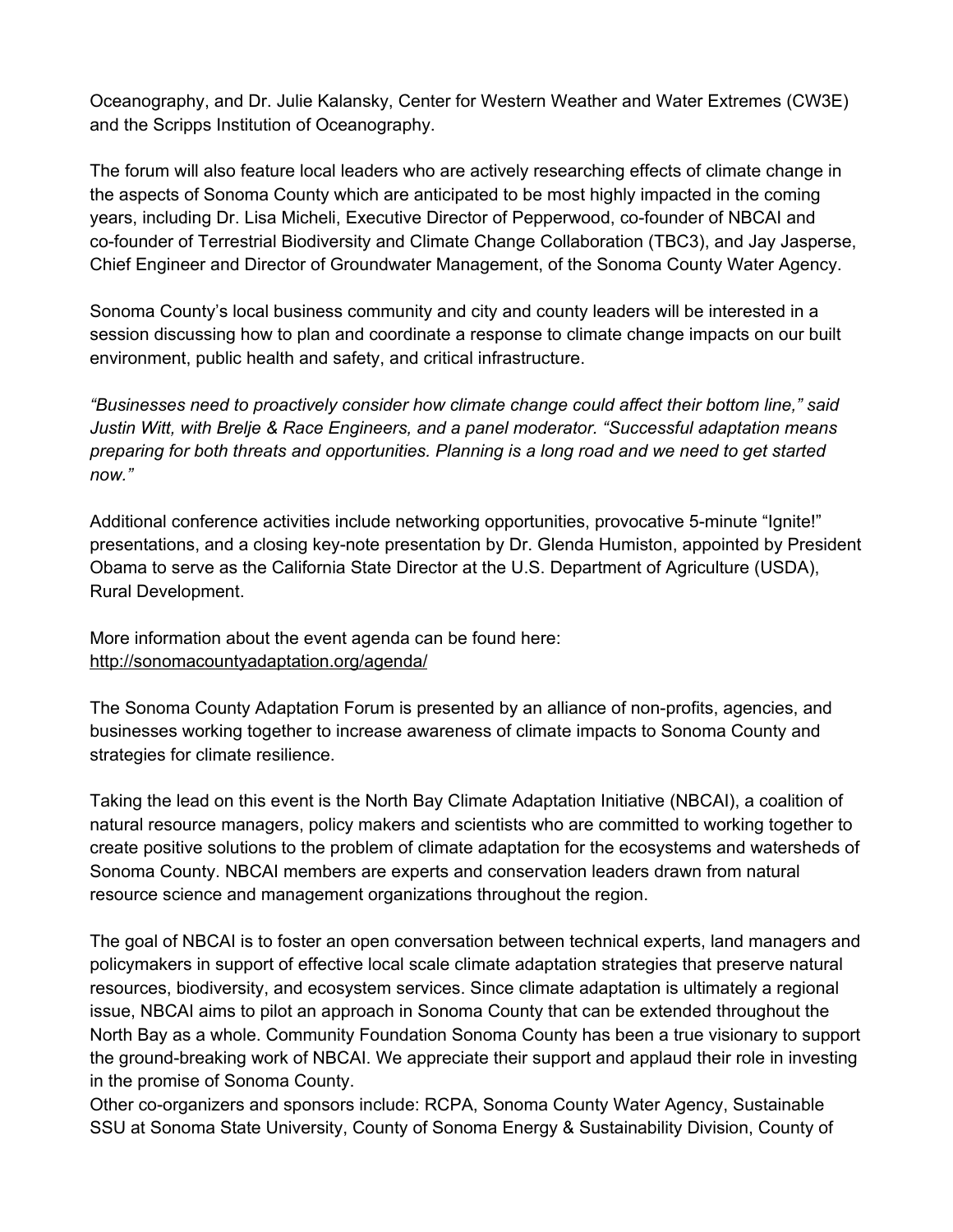Oceanography, and Dr. Julie Kalansky, Center for Western Weather and Water Extremes (CW3E) and the Scripps Institution of Oceanography.

The forum will also feature local leaders who are actively researching effects of climate change in the aspects of Sonoma County which are anticipated to be most highly impacted in the coming years, including Dr. Lisa Micheli, Executive Director of Pepperwood, co-founder of NBCAI and co-founder of Terrestrial Biodiversity and Climate Change Collaboration (TBC3), and Jay Jasperse, Chief Engineer and Director of Groundwater Management, of the Sonoma County Water Agency.

Sonoma County's local business community and city and county leaders will be interested in a session discussing how to plan and coordinate a response to climate change impacts on our built environment, public health and safety, and critical infrastructure.

*"Businesses need to proactively consider how climate change could affect their bottom line," said Justin Witt, with Brelje & Race Engineers, and a panel moderator. "Successful adaptation means preparing for both threats and opportunities. Planning is a long road and we need to get started now."*

Additional conference activities include networking opportunities, provocative 5-minute "Ignite!" presentations, and a closing keynote presentation by Dr. Glenda Humiston, appointed by President Obama to serve as the California State Director at the U.S. Department of Agriculture (USDA), Rural Development.

More information about the event agenda can be found here: <http://sonomacountyadaptation.org/agenda/>

The Sonoma County Adaptation Forum is presented by an alliance of nonprofits, agencies, and businesses working together to increase awareness of climate impacts to Sonoma County and strategies for climate resilience.

Taking the lead on this event is the North Bay Climate Adaptation Initiative (NBCAI), a coalition of natural resource managers, policy makers and scientists who are committed to working together to create positive solutions to the problem of climate adaptation for the ecosystems and watersheds of Sonoma County. NBCAI members are experts and conservation leaders drawn from natural resource science and management organizations throughout the region.

The goal of NBCAI is to foster an open conversation between technical experts, land managers and policymakers in support of effective local scale climate adaptation strategies that preserve natural resources, biodiversity, and ecosystem services. Since climate adaptation is ultimately a regional issue, NBCAI aims to pilot an approach in Sonoma County that can be extended throughout the North Bay as a whole. Community Foundation Sonoma County has been a true visionary to support the ground-breaking work of NBCAI. We appreciate their support and applaud their role in investing in the promise of Sonoma County.

Other co-organizers and sponsors include: RCPA, Sonoma County Water Agency, Sustainable SSU at Sonoma State University, County of Sonoma Energy & Sustainability Division, County of